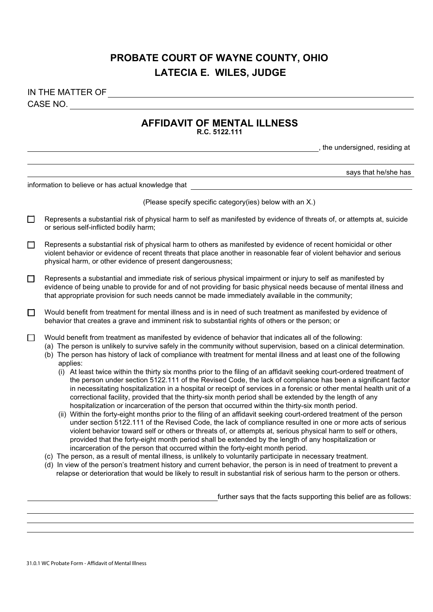# **PROBATE COURT OF WAYNE COUNTY, OHIO LATECIA E. WILES, JUDGE**

## CASE NO. IN THE MATTER OF

### **AFFIDAVIT OF MENTAL ILLNESS**

, the undersigned, residing at

**R.C. 5122.111**

|        | says that he/she has                                                                                                                                                                                                                                                                                                                                                                                                                                                                                                                                                                                                                                                                                                                                                                                                                                                                                                                                                                                                                                                                                                                                                                                                                                                                                                                                                                                                                                                                                   |  |
|--------|--------------------------------------------------------------------------------------------------------------------------------------------------------------------------------------------------------------------------------------------------------------------------------------------------------------------------------------------------------------------------------------------------------------------------------------------------------------------------------------------------------------------------------------------------------------------------------------------------------------------------------------------------------------------------------------------------------------------------------------------------------------------------------------------------------------------------------------------------------------------------------------------------------------------------------------------------------------------------------------------------------------------------------------------------------------------------------------------------------------------------------------------------------------------------------------------------------------------------------------------------------------------------------------------------------------------------------------------------------------------------------------------------------------------------------------------------------------------------------------------------------|--|
|        | information to believe or has actual knowledge that                                                                                                                                                                                                                                                                                                                                                                                                                                                                                                                                                                                                                                                                                                                                                                                                                                                                                                                                                                                                                                                                                                                                                                                                                                                                                                                                                                                                                                                    |  |
|        | (Please specify specific category(ies) below with an X.)                                                                                                                                                                                                                                                                                                                                                                                                                                                                                                                                                                                                                                                                                                                                                                                                                                                                                                                                                                                                                                                                                                                                                                                                                                                                                                                                                                                                                                               |  |
| $\Box$ | Represents a substantial risk of physical harm to self as manifested by evidence of threats of, or attempts at, suicide<br>or serious self-inflicted bodily harm;                                                                                                                                                                                                                                                                                                                                                                                                                                                                                                                                                                                                                                                                                                                                                                                                                                                                                                                                                                                                                                                                                                                                                                                                                                                                                                                                      |  |
| $\Box$ | Represents a substantial risk of physical harm to others as manifested by evidence of recent homicidal or other<br>violent behavior or evidence of recent threats that place another in reasonable fear of violent behavior and serious<br>physical harm, or other evidence of present dangerousness;                                                                                                                                                                                                                                                                                                                                                                                                                                                                                                                                                                                                                                                                                                                                                                                                                                                                                                                                                                                                                                                                                                                                                                                                  |  |
| □      | Represents a substantial and immediate risk of serious physical impairment or injury to self as manifested by<br>evidence of being unable to provide for and of not providing for basic physical needs because of mental illness and<br>that appropriate provision for such needs cannot be made immediately available in the community;                                                                                                                                                                                                                                                                                                                                                                                                                                                                                                                                                                                                                                                                                                                                                                                                                                                                                                                                                                                                                                                                                                                                                               |  |
| $\Box$ | Would benefit from treatment for mental illness and is in need of such treatment as manifested by evidence of<br>behavior that creates a grave and imminent risk to substantial rights of others or the person; or                                                                                                                                                                                                                                                                                                                                                                                                                                                                                                                                                                                                                                                                                                                                                                                                                                                                                                                                                                                                                                                                                                                                                                                                                                                                                     |  |
| □      | Would benefit from treatment as manifested by evidence of behavior that indicates all of the following:<br>(a) The person is unlikely to survive safely in the community without supervision, based on a clinical determination.<br>(b) The person has history of lack of compliance with treatment for mental illness and at least one of the following<br>applies:<br>(i) At least twice within the thirty six months prior to the filing of an affidavit seeking court-ordered treatment of<br>the person under section 5122.111 of the Revised Code, the lack of compliance has been a significant factor<br>in necessitating hospitalization in a hospital or receipt of services in a forensic or other mental health unit of a<br>correctional facility, provided that the thirty-six month period shall be extended by the length of any<br>hospitalization or incarceration of the person that occurred within the thirty-six month period.<br>(ii) Within the forty-eight months prior to the filing of an affidavit seeking court-ordered treatment of the person<br>under section 5122.111 of the Revised Code, the lack of compliance resulted in one or more acts of serious<br>violent behavior toward self or others or threats of, or attempts at, serious physical harm to self or others,<br>provided that the forty-eight month period shall be extended by the length of any hospitalization or<br>incarceration of the person that occurred within the forty-eight month period. |  |
|        | (c) The person, as a result of mental illness, is unlikely to voluntarily participate in necessary treatment.<br>(d) In view of the person's treatment history and current behavior, the person is in need of treatment to prevent a<br>relapse or deterioration that would be likely to result in substantial risk of serious harm to the person or others.                                                                                                                                                                                                                                                                                                                                                                                                                                                                                                                                                                                                                                                                                                                                                                                                                                                                                                                                                                                                                                                                                                                                           |  |

further says that the facts supporting this belief are as follows: